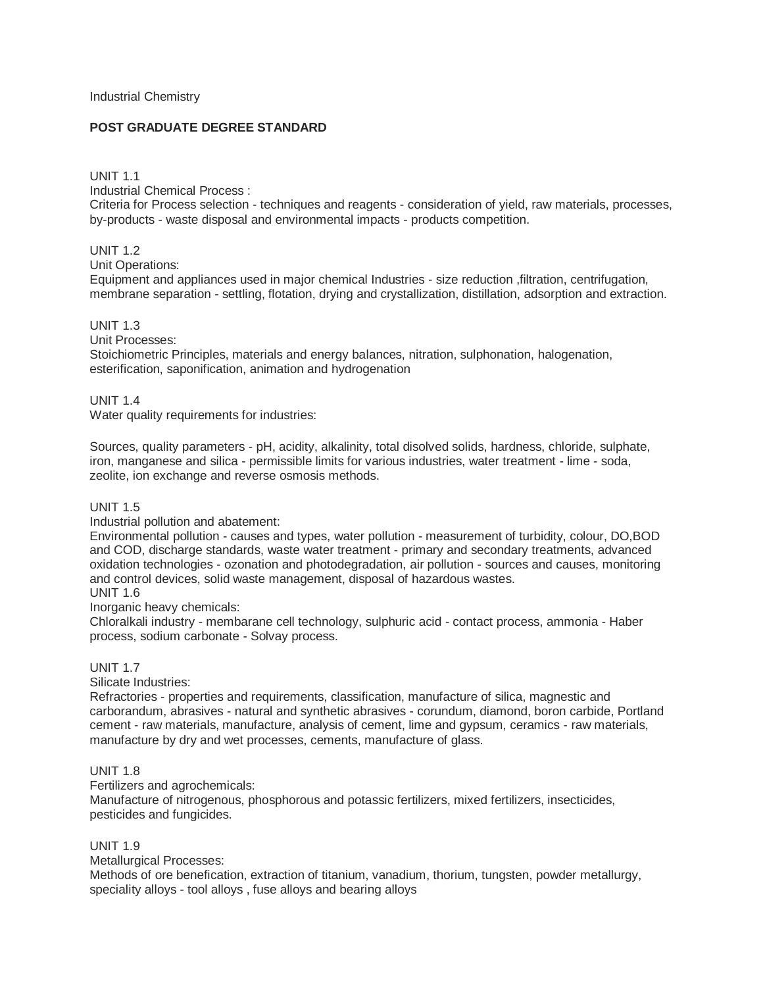# **POST GRADUATE DEGREE STANDARD**

## UNIT 1.1

Industrial Chemical Process :

Criteria for Process selection - techniques and reagents - consideration of yield, raw materials, processes, by-products - waste disposal and environmental impacts - products competition.

# UNIT 1.2

Unit Operations:

Equipment and appliances used in major chemical Industries - size reduction ,filtration, centrifugation, membrane separation - settling, flotation, drying and crystallization, distillation, adsorption and extraction.

# UNIT 1.3

Unit Processes:

Stoichiometric Principles, materials and energy balances, nitration, sulphonation, halogenation, esterification, saponification, animation and hydrogenation

# UNIT 1.4

Water quality requirements for industries:

Sources, quality parameters - pH, acidity, alkalinity, total disolved solids, hardness, chloride, sulphate, iron, manganese and silica - permissible limits for various industries, water treatment - lime - soda, zeolite, ion exchange and reverse osmosis methods.

# UNIT 1.5

Industrial pollution and abatement:

Environmental pollution - causes and types, water pollution - measurement of turbidity, colour, DO,BOD and COD, discharge standards, waste water treatment - primary and secondary treatments, advanced oxidation technologies - ozonation and photodegradation, air pollution - sources and causes, monitoring and control devices, solid waste management, disposal of hazardous wastes. UNIT 1.6

Inorganic heavy chemicals:

Chloralkali industry - membarane cell technology, sulphuric acid - contact process, ammonia - Haber process, sodium carbonate - Solvay process.

# UNIT 1.7

Silicate Industries:

Refractories - properties and requirements, classification, manufacture of silica, magnestic and carborandum, abrasives - natural and synthetic abrasives - corundum, diamond, boron carbide, Portland cement - raw materials, manufacture, analysis of cement, lime and gypsum, ceramics - raw materials, manufacture by dry and wet processes, cements, manufacture of glass.

# UNIT 1.8

Fertilizers and agrochemicals:

Manufacture of nitrogenous, phosphorous and potassic fertilizers, mixed fertilizers, insecticides, pesticides and fungicides.

UNIT 1.9

Metallurgical Processes:

Methods of ore benefication, extraction of titanium, vanadium, thorium, tungsten, powder metallurgy, speciality alloys - tool alloys , fuse alloys and bearing alloys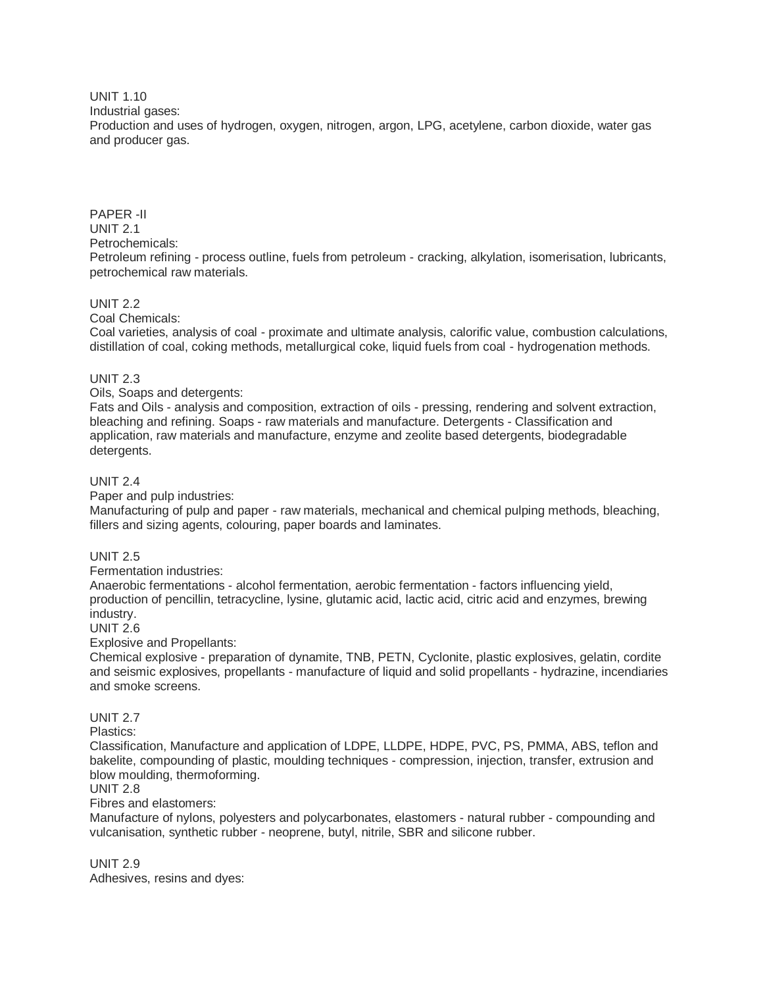UNIT 1.10

Industrial gases:

Production and uses of hydrogen, oxygen, nitrogen, argon, LPG, acetylene, carbon dioxide, water gas and producer gas.

PAPER -II UNIT 2.1 Petrochemicals: Petroleum refining - process outline, fuels from petroleum - cracking, alkylation, isomerisation, lubricants, petrochemical raw materials.

# UNIT 2.2

Coal Chemicals:

Coal varieties, analysis of coal - proximate and ultimate analysis, calorific value, combustion calculations, distillation of coal, coking methods, metallurgical coke, liquid fuels from coal - hydrogenation methods.

### UNIT 2.3

Oils, Soaps and detergents:

Fats and Oils - analysis and composition, extraction of oils - pressing, rendering and solvent extraction, bleaching and refining. Soaps - raw materials and manufacture. Detergents - Classification and application, raw materials and manufacture, enzyme and zeolite based detergents, biodegradable detergents.

## UNIT 2.4

Paper and pulp industries:

Manufacturing of pulp and paper - raw materials, mechanical and chemical pulping methods, bleaching, fillers and sizing agents, colouring, paper boards and laminates.

# UNIT 2.5

Fermentation industries:

Anaerobic fermentations - alcohol fermentation, aerobic fermentation - factors influencing yield, production of pencillin, tetracycline, lysine, glutamic acid, lactic acid, citric acid and enzymes, brewing industry.

### UNIT 2.6

Explosive and Propellants:

Chemical explosive - preparation of dynamite, TNB, PETN, Cyclonite, plastic explosives, gelatin, cordite and seismic explosives, propellants - manufacture of liquid and solid propellants - hydrazine, incendiaries and smoke screens.

### UNIT 2.7

Plastics:

Classification, Manufacture and application of LDPE, LLDPE, HDPE, PVC, PS, PMMA, ABS, teflon and bakelite, compounding of plastic, moulding techniques - compression, injection, transfer, extrusion and blow moulding, thermoforming.

### UNIT 2.8

Fibres and elastomers:

Manufacture of nylons, polyesters and polycarbonates, elastomers - natural rubber - compounding and vulcanisation, synthetic rubber - neoprene, butyl, nitrile, SBR and silicone rubber.

UNIT 2.9 Adhesives, resins and dyes: